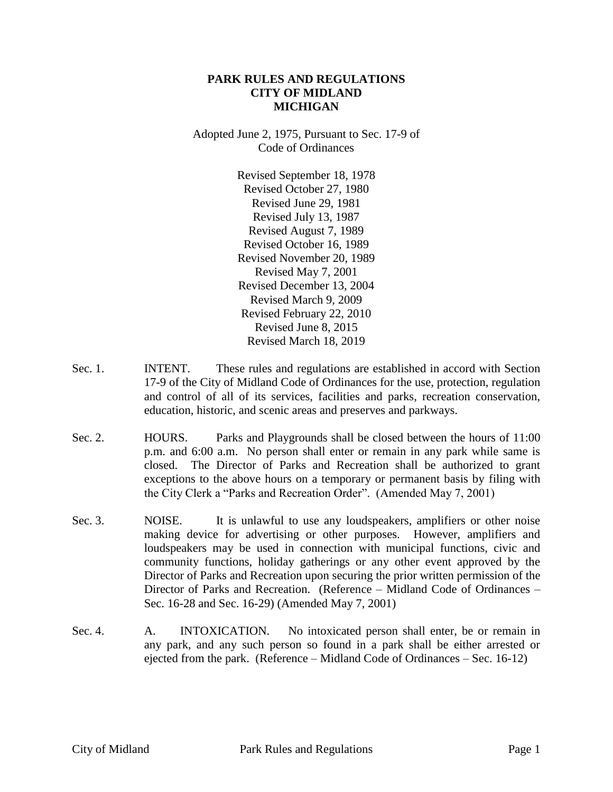## **PARK RULES AND REGULATIONS CITY OF MIDLAND MICHIGAN**

Adopted June 2, 1975, Pursuant to Sec. 17-9 of Code of Ordinances

> Revised September 18, 1978 Revised October 27, 1980 Revised June 29, 1981 Revised July 13, 1987 Revised August 7, 1989 Revised October 16, 1989 Revised November 20, 1989 Revised May 7, 2001 Revised December 13, 2004 Revised March 9, 2009 Revised February 22, 2010 Revised June 8, 2015 Revised March 18, 2019

- Sec. 1. INTENT. These rules and regulations are established in accord with Section 17-9 of the City of Midland Code of Ordinances for the use, protection, regulation and control of all of its services, facilities and parks, recreation conservation, education, historic, and scenic areas and preserves and parkways.
- Sec. 2. HOURS. Parks and Playgrounds shall be closed between the hours of 11:00 p.m. and 6:00 a.m. No person shall enter or remain in any park while same is closed. The Director of Parks and Recreation shall be authorized to grant exceptions to the above hours on a temporary or permanent basis by filing with the City Clerk a "Parks and Recreation Order". (Amended May 7, 2001)
- Sec. 3. NOISE. It is unlawful to use any loudspeakers, amplifiers or other noise making device for advertising or other purposes. However, amplifiers and loudspeakers may be used in connection with municipal functions, civic and community functions, holiday gatherings or any other event approved by the Director of Parks and Recreation upon securing the prior written permission of the Director of Parks and Recreation. (Reference – Midland Code of Ordinances – Sec. 16-28 and Sec. 16-29) (Amended May 7, 2001)
- Sec. 4. A. INTOXICATION. No intoxicated person shall enter, be or remain in any park, and any such person so found in a park shall be either arrested or ejected from the park. (Reference – Midland Code of Ordinances – Sec. 16-12)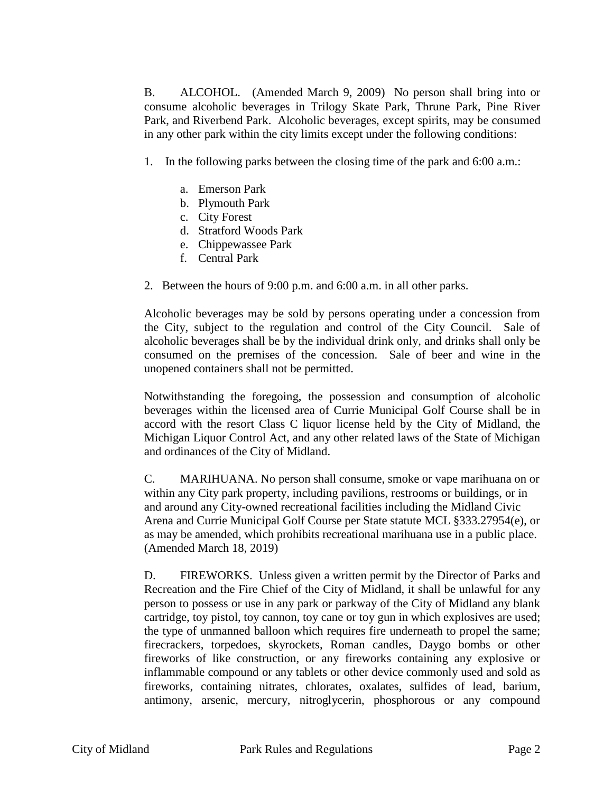B. ALCOHOL. (Amended March 9, 2009) No person shall bring into or consume alcoholic beverages in Trilogy Skate Park, Thrune Park, Pine River Park, and Riverbend Park. Alcoholic beverages, except spirits, may be consumed in any other park within the city limits except under the following conditions:

- 1. In the following parks between the closing time of the park and 6:00 a.m.:
	- a. Emerson Park
	- b. Plymouth Park
	- c. City Forest
	- d. Stratford Woods Park
	- e. Chippewassee Park
	- f. Central Park
- 2. Between the hours of 9:00 p.m. and 6:00 a.m. in all other parks.

Alcoholic beverages may be sold by persons operating under a concession from the City, subject to the regulation and control of the City Council. Sale of alcoholic beverages shall be by the individual drink only, and drinks shall only be consumed on the premises of the concession. Sale of beer and wine in the unopened containers shall not be permitted.

Notwithstanding the foregoing, the possession and consumption of alcoholic beverages within the licensed area of Currie Municipal Golf Course shall be in accord with the resort Class C liquor license held by the City of Midland, the Michigan Liquor Control Act, and any other related laws of the State of Michigan and ordinances of the City of Midland.

C. MARIHUANA. No person shall consume, smoke or vape marihuana on or within any City park property, including pavilions, restrooms or buildings, or in and around any City-owned recreational facilities including the Midland Civic Arena and Currie Municipal Golf Course per State statute MCL §333.27954(e), or as may be amended, which prohibits recreational marihuana use in a public place. (Amended March 18, 2019)

D. FIREWORKS. Unless given a written permit by the Director of Parks and Recreation and the Fire Chief of the City of Midland, it shall be unlawful for any person to possess or use in any park or parkway of the City of Midland any blank cartridge, toy pistol, toy cannon, toy cane or toy gun in which explosives are used; the type of unmanned balloon which requires fire underneath to propel the same; firecrackers, torpedoes, skyrockets, Roman candles, Daygo bombs or other fireworks of like construction, or any fireworks containing any explosive or inflammable compound or any tablets or other device commonly used and sold as fireworks, containing nitrates, chlorates, oxalates, sulfides of lead, barium, antimony, arsenic, mercury, nitroglycerin, phosphorous or any compound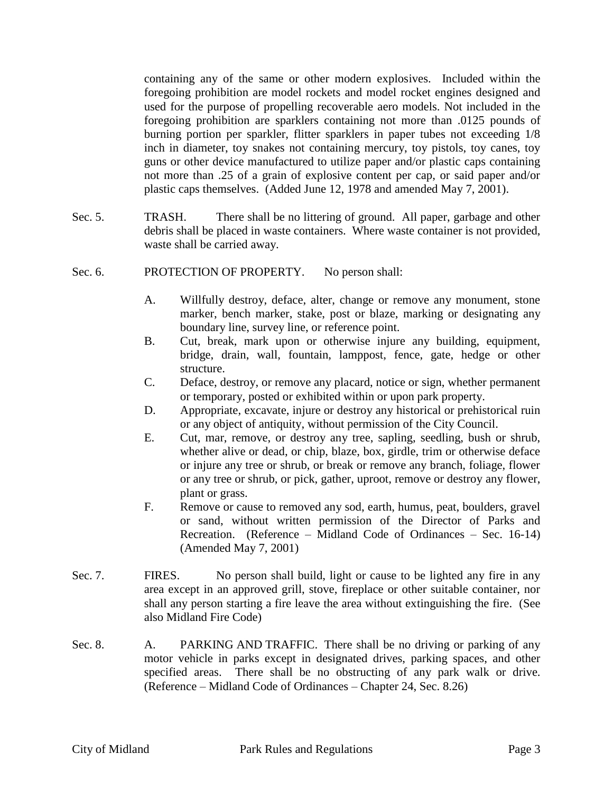containing any of the same or other modern explosives. Included within the foregoing prohibition are model rockets and model rocket engines designed and used for the purpose of propelling recoverable aero models. Not included in the foregoing prohibition are sparklers containing not more than .0125 pounds of burning portion per sparkler, flitter sparklers in paper tubes not exceeding 1/8 inch in diameter, toy snakes not containing mercury, toy pistols, toy canes, toy guns or other device manufactured to utilize paper and/or plastic caps containing not more than .25 of a grain of explosive content per cap, or said paper and/or plastic caps themselves. (Added June 12, 1978 and amended May 7, 2001).

- Sec. 5. TRASH. There shall be no littering of ground. All paper, garbage and other debris shall be placed in waste containers. Where waste container is not provided, waste shall be carried away.
- Sec. 6. PROTECTION OF PROPERTY. No person shall:
	- A. Willfully destroy, deface, alter, change or remove any monument, stone marker, bench marker, stake, post or blaze, marking or designating any boundary line, survey line, or reference point.
	- B. Cut, break, mark upon or otherwise injure any building, equipment, bridge, drain, wall, fountain, lamppost, fence, gate, hedge or other structure.
	- C. Deface, destroy, or remove any placard, notice or sign, whether permanent or temporary, posted or exhibited within or upon park property.
	- D. Appropriate, excavate, injure or destroy any historical or prehistorical ruin or any object of antiquity, without permission of the City Council.
	- E. Cut, mar, remove, or destroy any tree, sapling, seedling, bush or shrub, whether alive or dead, or chip, blaze, box, girdle, trim or otherwise deface or injure any tree or shrub, or break or remove any branch, foliage, flower or any tree or shrub, or pick, gather, uproot, remove or destroy any flower, plant or grass.
	- F. Remove or cause to removed any sod, earth, humus, peat, boulders, gravel or sand, without written permission of the Director of Parks and Recreation. (Reference – Midland Code of Ordinances – Sec. 16-14) (Amended May 7, 2001)
- Sec. 7. FIRES. No person shall build, light or cause to be lighted any fire in any area except in an approved grill, stove, fireplace or other suitable container, nor shall any person starting a fire leave the area without extinguishing the fire. (See also Midland Fire Code)
- Sec. 8. A. PARKING AND TRAFFIC. There shall be no driving or parking of any motor vehicle in parks except in designated drives, parking spaces, and other specified areas. There shall be no obstructing of any park walk or drive. (Reference – Midland Code of Ordinances – Chapter 24, Sec. 8.26)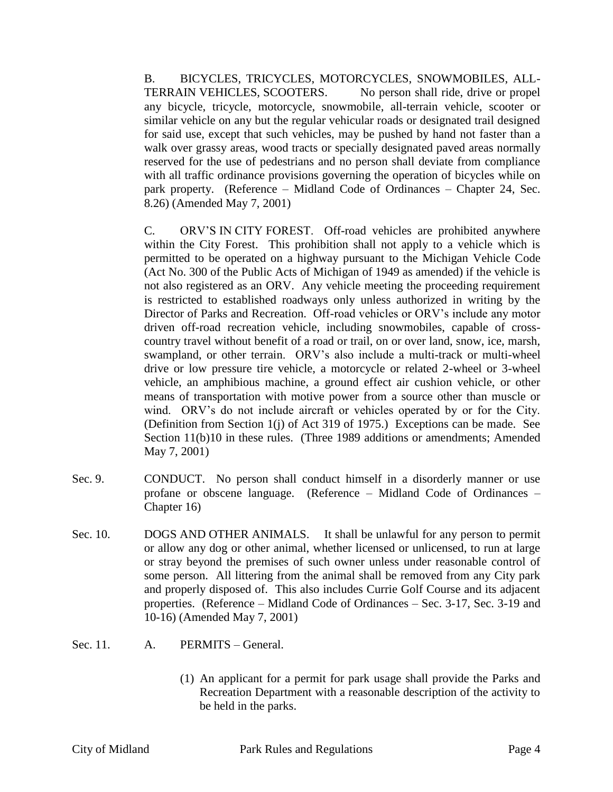B. BICYCLES, TRICYCLES, MOTORCYCLES, SNOWMOBILES, ALL-TERRAIN VEHICLES, SCOOTERS. No person shall ride, drive or propel any bicycle, tricycle, motorcycle, snowmobile, all-terrain vehicle, scooter or similar vehicle on any but the regular vehicular roads or designated trail designed for said use, except that such vehicles, may be pushed by hand not faster than a walk over grassy areas, wood tracts or specially designated paved areas normally reserved for the use of pedestrians and no person shall deviate from compliance with all traffic ordinance provisions governing the operation of bicycles while on park property. (Reference – Midland Code of Ordinances – Chapter 24, Sec. 8.26) (Amended May 7, 2001)

C. ORV'S IN CITY FOREST. Off-road vehicles are prohibited anywhere within the City Forest. This prohibition shall not apply to a vehicle which is permitted to be operated on a highway pursuant to the Michigan Vehicle Code (Act No. 300 of the Public Acts of Michigan of 1949 as amended) if the vehicle is not also registered as an ORV. Any vehicle meeting the proceeding requirement is restricted to established roadways only unless authorized in writing by the Director of Parks and Recreation. Off-road vehicles or ORV's include any motor driven off-road recreation vehicle, including snowmobiles, capable of crosscountry travel without benefit of a road or trail, on or over land, snow, ice, marsh, swampland, or other terrain. ORV's also include a multi-track or multi-wheel drive or low pressure tire vehicle, a motorcycle or related 2-wheel or 3-wheel vehicle, an amphibious machine, a ground effect air cushion vehicle, or other means of transportation with motive power from a source other than muscle or wind. ORV's do not include aircraft or vehicles operated by or for the City. (Definition from Section 1(j) of Act 319 of 1975.) Exceptions can be made. See Section 11(b)10 in these rules. (Three 1989 additions or amendments; Amended May 7, 2001)

- Sec. 9. CONDUCT. No person shall conduct himself in a disorderly manner or use profane or obscene language. (Reference – Midland Code of Ordinances – Chapter 16)
- Sec. 10. DOGS AND OTHER ANIMALS. It shall be unlawful for any person to permit or allow any dog or other animal, whether licensed or unlicensed, to run at large or stray beyond the premises of such owner unless under reasonable control of some person. All littering from the animal shall be removed from any City park and properly disposed of. This also includes Currie Golf Course and its adjacent properties. (Reference – Midland Code of Ordinances – Sec. 3-17, Sec. 3-19 and 10-16) (Amended May 7, 2001)
- Sec. 11. A. PERMITS General.
	- (1) An applicant for a permit for park usage shall provide the Parks and Recreation Department with a reasonable description of the activity to be held in the parks.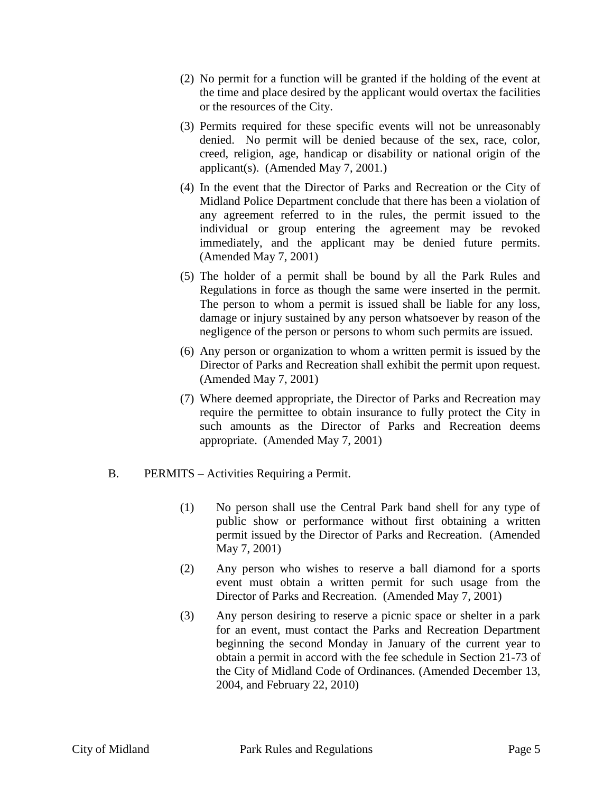- (2) No permit for a function will be granted if the holding of the event at the time and place desired by the applicant would overtax the facilities or the resources of the City.
- (3) Permits required for these specific events will not be unreasonably denied. No permit will be denied because of the sex, race, color, creed, religion, age, handicap or disability or national origin of the applicant(s). (Amended May 7, 2001.)
- (4) In the event that the Director of Parks and Recreation or the City of Midland Police Department conclude that there has been a violation of any agreement referred to in the rules, the permit issued to the individual or group entering the agreement may be revoked immediately, and the applicant may be denied future permits. (Amended May 7, 2001)
- (5) The holder of a permit shall be bound by all the Park Rules and Regulations in force as though the same were inserted in the permit. The person to whom a permit is issued shall be liable for any loss, damage or injury sustained by any person whatsoever by reason of the negligence of the person or persons to whom such permits are issued.
- (6) Any person or organization to whom a written permit is issued by the Director of Parks and Recreation shall exhibit the permit upon request. (Amended May 7, 2001)
- (7) Where deemed appropriate, the Director of Parks and Recreation may require the permittee to obtain insurance to fully protect the City in such amounts as the Director of Parks and Recreation deems appropriate. (Amended May 7, 2001)
- B. PERMITS Activities Requiring a Permit.
	- (1) No person shall use the Central Park band shell for any type of public show or performance without first obtaining a written permit issued by the Director of Parks and Recreation. (Amended May 7, 2001)
	- (2) Any person who wishes to reserve a ball diamond for a sports event must obtain a written permit for such usage from the Director of Parks and Recreation. (Amended May 7, 2001)
	- (3) Any person desiring to reserve a picnic space or shelter in a park for an event, must contact the Parks and Recreation Department beginning the second Monday in January of the current year to obtain a permit in accord with the fee schedule in Section 21-73 of the City of Midland Code of Ordinances. (Amended December 13, 2004, and February 22, 2010)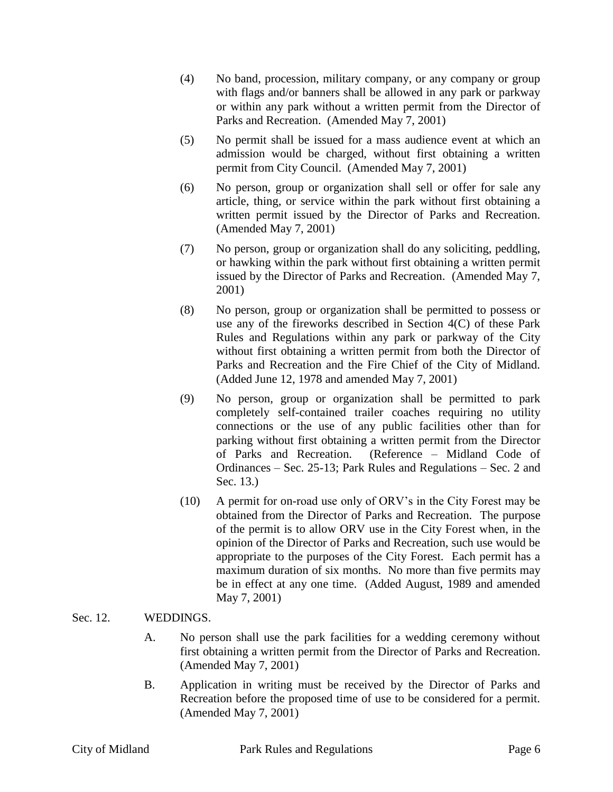- (4) No band, procession, military company, or any company or group with flags and/or banners shall be allowed in any park or parkway or within any park without a written permit from the Director of Parks and Recreation. (Amended May 7, 2001)
- (5) No permit shall be issued for a mass audience event at which an admission would be charged, without first obtaining a written permit from City Council. (Amended May 7, 2001)
- (6) No person, group or organization shall sell or offer for sale any article, thing, or service within the park without first obtaining a written permit issued by the Director of Parks and Recreation. (Amended May 7, 2001)
- (7) No person, group or organization shall do any soliciting, peddling, or hawking within the park without first obtaining a written permit issued by the Director of Parks and Recreation. (Amended May 7, 2001)
- (8) No person, group or organization shall be permitted to possess or use any of the fireworks described in Section 4(C) of these Park Rules and Regulations within any park or parkway of the City without first obtaining a written permit from both the Director of Parks and Recreation and the Fire Chief of the City of Midland. (Added June 12, 1978 and amended May 7, 2001)
- (9) No person, group or organization shall be permitted to park completely self-contained trailer coaches requiring no utility connections or the use of any public facilities other than for parking without first obtaining a written permit from the Director of Parks and Recreation. (Reference – Midland Code of Ordinances – Sec. 25-13; Park Rules and Regulations – Sec. 2 and Sec. 13.)
- (10) A permit for on-road use only of ORV's in the City Forest may be obtained from the Director of Parks and Recreation. The purpose of the permit is to allow ORV use in the City Forest when, in the opinion of the Director of Parks and Recreation, such use would be appropriate to the purposes of the City Forest. Each permit has a maximum duration of six months. No more than five permits may be in effect at any one time. (Added August, 1989 and amended May 7, 2001)

## Sec. 12. WEDDINGS.

- A. No person shall use the park facilities for a wedding ceremony without first obtaining a written permit from the Director of Parks and Recreation. (Amended May 7, 2001)
- B. Application in writing must be received by the Director of Parks and Recreation before the proposed time of use to be considered for a permit. (Amended May 7, 2001)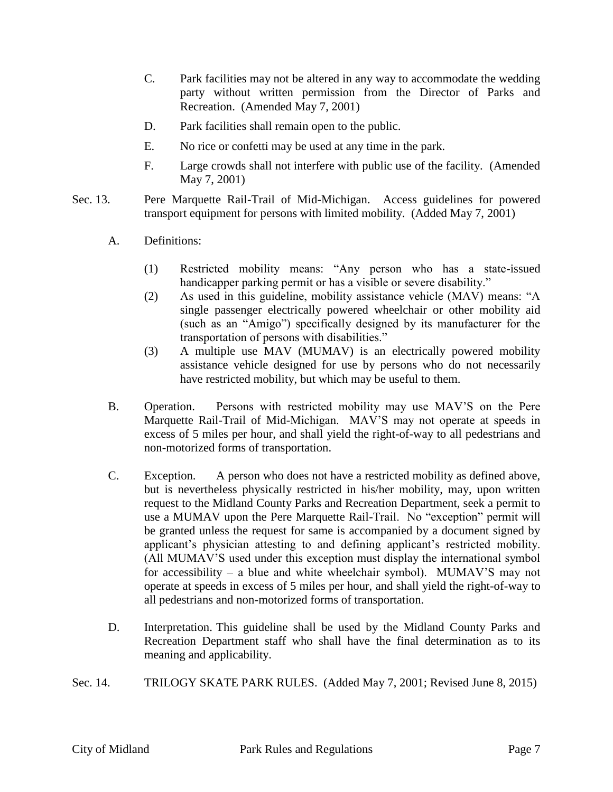- C. Park facilities may not be altered in any way to accommodate the wedding party without written permission from the Director of Parks and Recreation. (Amended May 7, 2001)
- D. Park facilities shall remain open to the public.
- E. No rice or confetti may be used at any time in the park.
- F. Large crowds shall not interfere with public use of the facility. (Amended May 7, 2001)
- Sec. 13. Pere Marquette Rail-Trail of Mid-Michigan. Access guidelines for powered transport equipment for persons with limited mobility. (Added May 7, 2001)
	- A. Definitions:
		- (1) Restricted mobility means: "Any person who has a state-issued handicapper parking permit or has a visible or severe disability."
		- (2) As used in this guideline, mobility assistance vehicle (MAV) means: "A single passenger electrically powered wheelchair or other mobility aid (such as an "Amigo") specifically designed by its manufacturer for the transportation of persons with disabilities."
		- (3) A multiple use MAV (MUMAV) is an electrically powered mobility assistance vehicle designed for use by persons who do not necessarily have restricted mobility, but which may be useful to them.
	- B. Operation. Persons with restricted mobility may use MAV'S on the Pere Marquette Rail-Trail of Mid-Michigan. MAV'S may not operate at speeds in excess of 5 miles per hour, and shall yield the right-of-way to all pedestrians and non-motorized forms of transportation.
	- C. Exception. A person who does not have a restricted mobility as defined above, but is nevertheless physically restricted in his/her mobility, may, upon written request to the Midland County Parks and Recreation Department, seek a permit to use a MUMAV upon the Pere Marquette Rail-Trail. No "exception" permit will be granted unless the request for same is accompanied by a document signed by applicant's physician attesting to and defining applicant's restricted mobility. (All MUMAV'S used under this exception must display the international symbol for accessibility – a blue and white wheelchair symbol). MUMAV'S may not operate at speeds in excess of 5 miles per hour, and shall yield the right-of-way to all pedestrians and non-motorized forms of transportation.
	- D. Interpretation. This guideline shall be used by the Midland County Parks and Recreation Department staff who shall have the final determination as to its meaning and applicability.
- Sec. 14. TRILOGY SKATE PARK RULES. (Added May 7, 2001; Revised June 8, 2015)